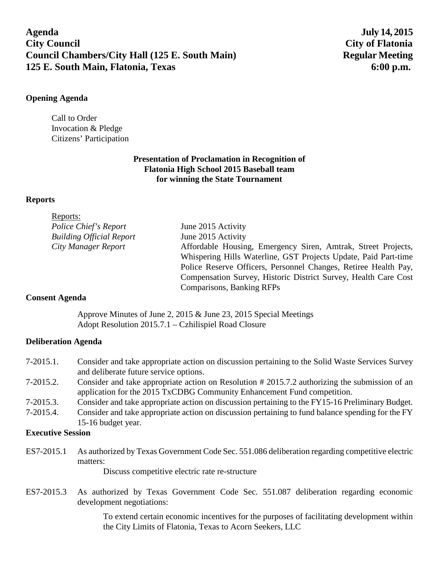**Agenda July 14, 2015 City Council City of Flatonia Council Chambers/City Hall (125 E. South Main)** Regular Meeting **125 E. South Main, Flatonia, Texas 6:00 p.m.**

#### **Opening Agenda**

Call to Order Invocation & Pledge Citizens' Participation

# **Presentation of Proclamation in Recognition of Flatonia High School 2015 Baseball team for winning the State Tournament**

## **Reports**

| Reports:                        |                                                                 |
|---------------------------------|-----------------------------------------------------------------|
| Police Chief's Report           | June 2015 Activity                                              |
| <b>Building Official Report</b> | June 2015 Activity                                              |
| City Manager Report             | Affordable Housing, Emergency Siren, Amtrak, Street Projects,   |
|                                 | Whispering Hills Waterline, GST Projects Update, Paid Part-time |
|                                 | Police Reserve Officers, Personnel Changes, Retiree Health Pay, |
|                                 | Compensation Survey, Historic District Survey, Health Care Cost |
|                                 | Comparisons, Banking RFPs                                       |

# **Consent Agenda**

Approve Minutes of June 2, 2015 & June 23, 2015 Special Meetings Adopt Resolution 2015.7.1 – Czhilispiel Road Closure

# **Deliberation Agenda**

- 7-2015.1. Consider and take appropriate action on discussion pertaining to the Solid Waste Services Survey and deliberate future service options.
- 7-2015.2. Consider and take appropriate action on Resolution # 2015.7.2 authorizing the submission of an application for the 2015 TxCDBG Community Enhancement Fund competition.
- 7-2015.3. Consider and take appropriate action on discussion pertaining to the FY15-16 Preliminary Budget.
- 7-2015.4. Consider and take appropriate action on discussion pertaining to fund balance spending for the FY 15-16 budget year.

#### **Executive Session**

ES7-2015.1 As authorized by Texas Government Code Sec. 551.086 deliberation regarding competitive electric matters:

Discuss competitive electric rate re-structure

ES7-2015.3 As authorized by Texas Government Code Sec. 551.087 deliberation regarding economic development negotiations:

> To extend certain economic incentives for the purposes of facilitating development within the City Limits of Flatonia, Texas to Acorn Seekers, LLC